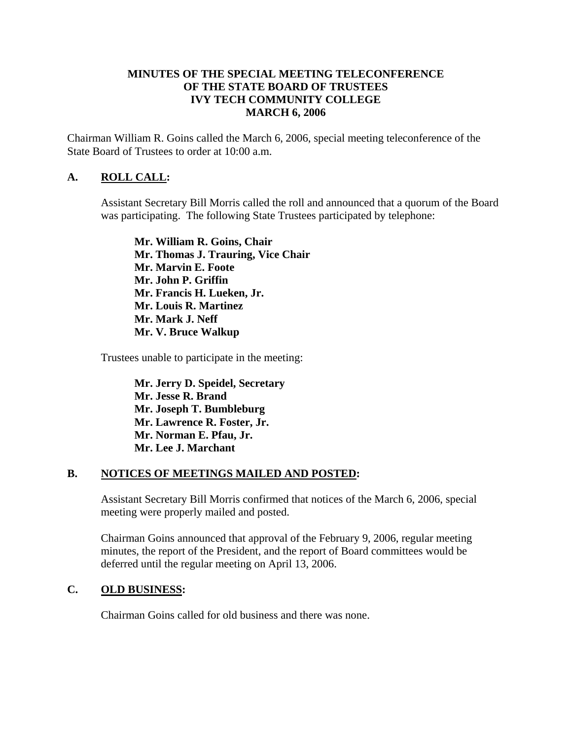#### **MINUTES OF THE SPECIAL MEETING TELECONFERENCE OF THE STATE BOARD OF TRUSTEES IVY TECH COMMUNITY COLLEGE MARCH 6, 2006**

Chairman William R. Goins called the March 6, 2006, special meeting teleconference of the State Board of Trustees to order at 10:00 a.m.

# **A. ROLL CALL:**

Assistant Secretary Bill Morris called the roll and announced that a quorum of the Board was participating. The following State Trustees participated by telephone:

**Mr. William R. Goins, Chair Mr. Thomas J. Trauring, Vice Chair Mr. Marvin E. Foote Mr. John P. Griffin Mr. Francis H. Lueken, Jr. Mr. Louis R. Martinez Mr. Mark J. Neff Mr. V. Bruce Walkup** 

Trustees unable to participate in the meeting:

 **Mr. Jerry D. Speidel, Secretary Mr. Jesse R. Brand Mr. Joseph T. Bumbleburg Mr. Lawrence R. Foster, Jr. Mr. Norman E. Pfau, Jr. Mr. Lee J. Marchant** 

## **B. NOTICES OF MEETINGS MAILED AND POSTED:**

Assistant Secretary Bill Morris confirmed that notices of the March 6, 2006, special meeting were properly mailed and posted.

Chairman Goins announced that approval of the February 9, 2006, regular meeting minutes, the report of the President, and the report of Board committees would be deferred until the regular meeting on April 13, 2006.

## **C. OLD BUSINESS:**

Chairman Goins called for old business and there was none.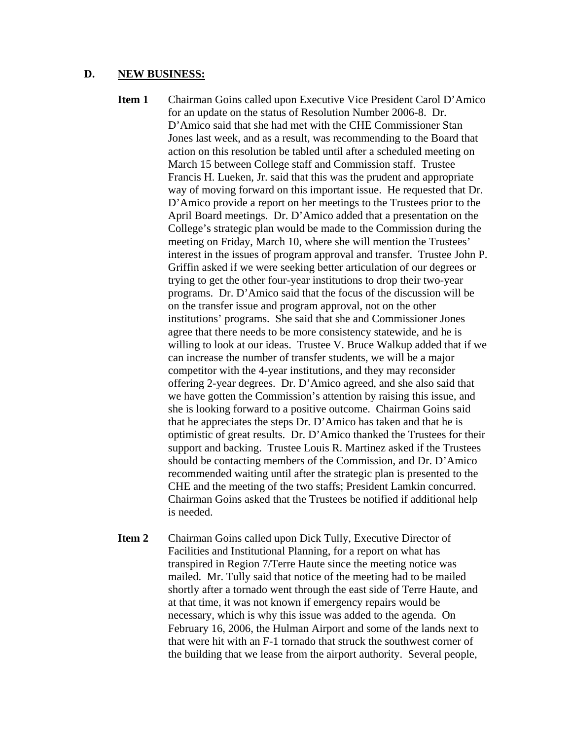#### **D. NEW BUSINESS:**

- **Item 1** Chairman Goins called upon Executive Vice President Carol D'Amico for an update on the status of Resolution Number 2006-8. Dr. D'Amico said that she had met with the CHE Commissioner Stan Jones last week, and as a result, was recommending to the Board that action on this resolution be tabled until after a scheduled meeting on March 15 between College staff and Commission staff. Trustee Francis H. Lueken, Jr. said that this was the prudent and appropriate way of moving forward on this important issue. He requested that Dr. D'Amico provide a report on her meetings to the Trustees prior to the April Board meetings. Dr. D'Amico added that a presentation on the College's strategic plan would be made to the Commission during the meeting on Friday, March 10, where she will mention the Trustees' interest in the issues of program approval and transfer. Trustee John P. Griffin asked if we were seeking better articulation of our degrees or trying to get the other four-year institutions to drop their two-year programs. Dr. D'Amico said that the focus of the discussion will be on the transfer issue and program approval, not on the other institutions' programs. She said that she and Commissioner Jones agree that there needs to be more consistency statewide, and he is willing to look at our ideas. Trustee V. Bruce Walkup added that if we can increase the number of transfer students, we will be a major competitor with the 4-year institutions, and they may reconsider offering 2-year degrees. Dr. D'Amico agreed, and she also said that we have gotten the Commission's attention by raising this issue, and she is looking forward to a positive outcome. Chairman Goins said that he appreciates the steps Dr. D'Amico has taken and that he is optimistic of great results. Dr. D'Amico thanked the Trustees for their support and backing. Trustee Louis R. Martinez asked if the Trustees should be contacting members of the Commission, and Dr. D'Amico recommended waiting until after the strategic plan is presented to the CHE and the meeting of the two staffs; President Lamkin concurred. Chairman Goins asked that the Trustees be notified if additional help is needed.
- **Item 2** Chairman Goins called upon Dick Tully, Executive Director of Facilities and Institutional Planning, for a report on what has transpired in Region 7/Terre Haute since the meeting notice was mailed. Mr. Tully said that notice of the meeting had to be mailed shortly after a tornado went through the east side of Terre Haute, and at that time, it was not known if emergency repairs would be necessary, which is why this issue was added to the agenda. On February 16, 2006, the Hulman Airport and some of the lands next to that were hit with an F-1 tornado that struck the southwest corner of the building that we lease from the airport authority. Several people,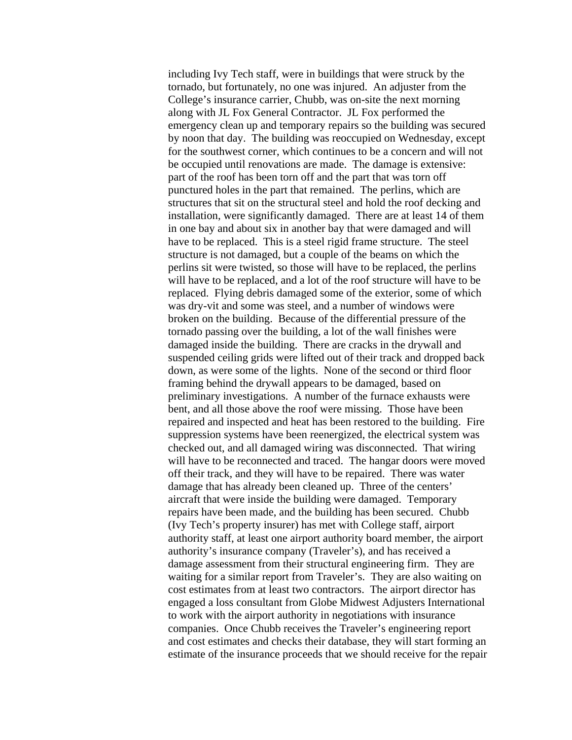including Ivy Tech staff, were in buildings that were struck by the tornado, but fortunately, no one was injured. An adjuster from the College's insurance carrier, Chubb, was on-site the next morning along with JL Fox General Contractor. JL Fox performed the emergency clean up and temporary repairs so the building was secured by noon that day. The building was reoccupied on Wednesday, except for the southwest corner, which continues to be a concern and will not be occupied until renovations are made. The damage is extensive: part of the roof has been torn off and the part that was torn off punctured holes in the part that remained. The perlins, which are structures that sit on the structural steel and hold the roof decking and installation, were significantly damaged. There are at least 14 of them in one bay and about six in another bay that were damaged and will have to be replaced. This is a steel rigid frame structure. The steel structure is not damaged, but a couple of the beams on which the perlins sit were twisted, so those will have to be replaced, the perlins will have to be replaced, and a lot of the roof structure will have to be replaced. Flying debris damaged some of the exterior, some of which was dry-vit and some was steel, and a number of windows were broken on the building. Because of the differential pressure of the tornado passing over the building, a lot of the wall finishes were damaged inside the building. There are cracks in the drywall and suspended ceiling grids were lifted out of their track and dropped back down, as were some of the lights. None of the second or third floor framing behind the drywall appears to be damaged, based on preliminary investigations. A number of the furnace exhausts were bent, and all those above the roof were missing. Those have been repaired and inspected and heat has been restored to the building. Fire suppression systems have been reenergized, the electrical system was checked out, and all damaged wiring was disconnected. That wiring will have to be reconnected and traced. The hangar doors were moved off their track, and they will have to be repaired. There was water damage that has already been cleaned up. Three of the centers' aircraft that were inside the building were damaged. Temporary repairs have been made, and the building has been secured. Chubb (Ivy Tech's property insurer) has met with College staff, airport authority staff, at least one airport authority board member, the airport authority's insurance company (Traveler's), and has received a damage assessment from their structural engineering firm. They are waiting for a similar report from Traveler's. They are also waiting on cost estimates from at least two contractors. The airport director has engaged a loss consultant from Globe Midwest Adjusters International to work with the airport authority in negotiations with insurance companies. Once Chubb receives the Traveler's engineering report and cost estimates and checks their database, they will start forming an estimate of the insurance proceeds that we should receive for the repair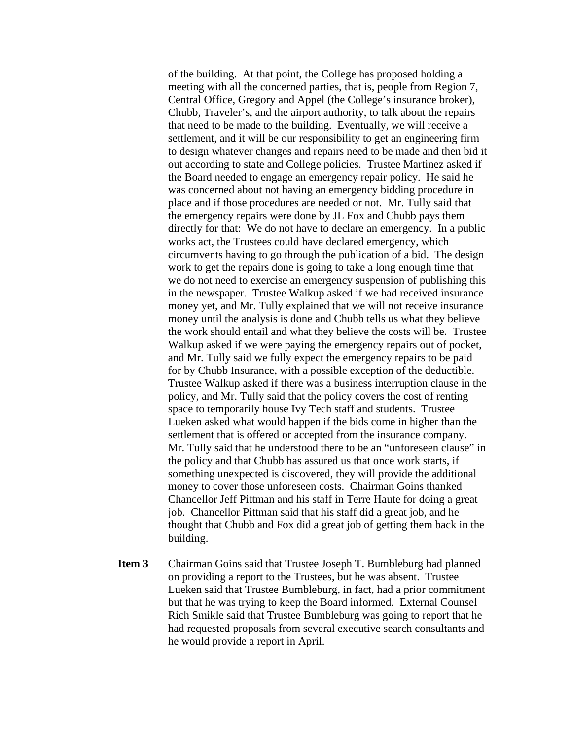of the building. At that point, the College has proposed holding a meeting with all the concerned parties, that is, people from Region 7, Central Office, Gregory and Appel (the College's insurance broker), Chubb, Traveler's, and the airport authority, to talk about the repairs that need to be made to the building. Eventually, we will receive a settlement, and it will be our responsibility to get an engineering firm to design whatever changes and repairs need to be made and then bid it out according to state and College policies. Trustee Martinez asked if the Board needed to engage an emergency repair policy. He said he was concerned about not having an emergency bidding procedure in place and if those procedures are needed or not. Mr. Tully said that the emergency repairs were done by JL Fox and Chubb pays them directly for that: We do not have to declare an emergency. In a public works act, the Trustees could have declared emergency, which circumvents having to go through the publication of a bid. The design work to get the repairs done is going to take a long enough time that we do not need to exercise an emergency suspension of publishing this in the newspaper. Trustee Walkup asked if we had received insurance money yet, and Mr. Tully explained that we will not receive insurance money until the analysis is done and Chubb tells us what they believe the work should entail and what they believe the costs will be. Trustee Walkup asked if we were paying the emergency repairs out of pocket, and Mr. Tully said we fully expect the emergency repairs to be paid for by Chubb Insurance, with a possible exception of the deductible. Trustee Walkup asked if there was a business interruption clause in the policy, and Mr. Tully said that the policy covers the cost of renting space to temporarily house Ivy Tech staff and students. Trustee Lueken asked what would happen if the bids come in higher than the settlement that is offered or accepted from the insurance company. Mr. Tully said that he understood there to be an "unforeseen clause" in the policy and that Chubb has assured us that once work starts, if something unexpected is discovered, they will provide the additional money to cover those unforeseen costs. Chairman Goins thanked Chancellor Jeff Pittman and his staff in Terre Haute for doing a great job. Chancellor Pittman said that his staff did a great job, and he thought that Chubb and Fox did a great job of getting them back in the building.

**Item 3** Chairman Goins said that Trustee Joseph T. Bumbleburg had planned on providing a report to the Trustees, but he was absent. Trustee Lueken said that Trustee Bumbleburg, in fact, had a prior commitment but that he was trying to keep the Board informed. External Counsel Rich Smikle said that Trustee Bumbleburg was going to report that he had requested proposals from several executive search consultants and he would provide a report in April.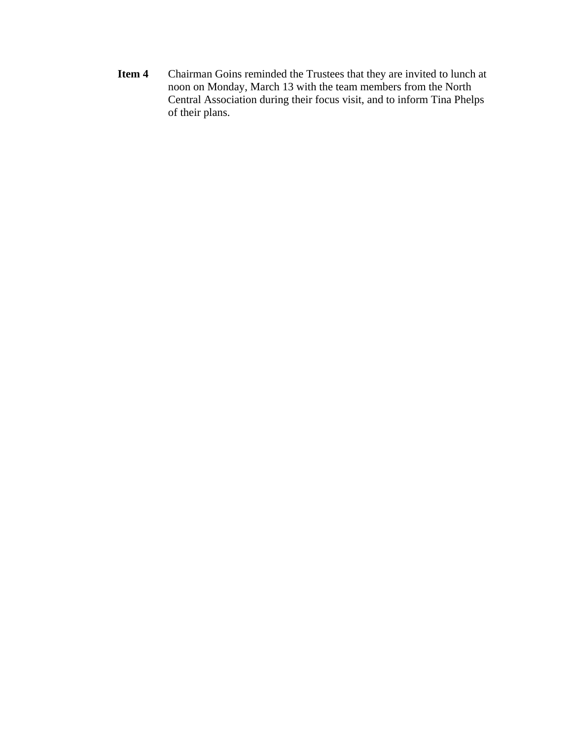**Item 4** Chairman Goins reminded the Trustees that they are invited to lunch at noon on Monday, March 13 with the team members from the North Central Association during their focus visit, and to inform Tina Phelps of their plans.